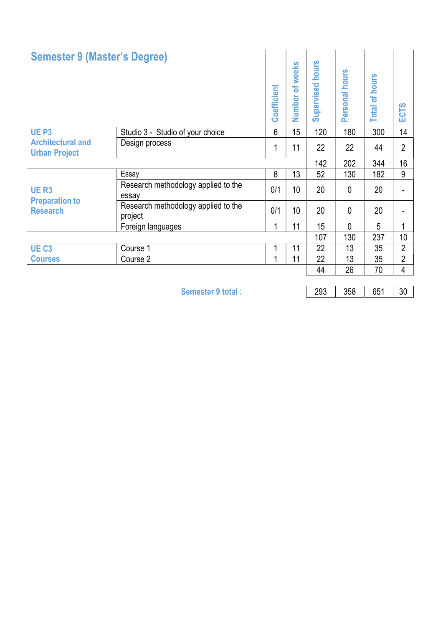| <b>Semester 9 (Master's Degree)</b>                     |                                                | Coefficient | Number of weeks | <b>Supervised hours</b> | Personal hours | <b>Total of hours</b> | <b>CTS</b><br>ш |
|---------------------------------------------------------|------------------------------------------------|-------------|-----------------|-------------------------|----------------|-----------------------|-----------------|
| UE <sub>P3</sub>                                        | Studio 3 - Studio of your choice               | 6           | 15              | 120                     | 180            | 300                   | 14              |
| <b>Architectural and</b><br><b>Urban Project</b>        | Design process                                 | 1           | 11              | 22                      | 22             | 44                    | $\overline{2}$  |
|                                                         |                                                |             |                 | 142                     | 202            | 344                   | 16 <sup>°</sup> |
| <b>UER3</b><br><b>Preparation to</b><br><b>Research</b> | Essay                                          | 8           | 13              | 52                      | 130            | 182                   | 9               |
|                                                         | Research methodology applied to the<br>essay   | 0/1         | 10 <sup>1</sup> | 20                      | 0              | 20                    |                 |
|                                                         | Research methodology applied to the<br>project | 0/1         | 10 <sup>1</sup> | 20                      | $\mathbf{0}$   | 20                    | Ξ.              |
|                                                         | Foreign languages                              |             | 11              | 15                      | 0              | 5                     |                 |
|                                                         |                                                |             |                 | 107                     | 130            | 237                   | 10 <sup>°</sup> |
| UE <sub>C3</sub>                                        | Course 1                                       |             | 11              | 22                      | 13             | 35                    | $\overline{2}$  |
| <b>Courses</b>                                          | Course 2                                       |             | 11              | 22                      | 13             | 35                    | $\overline{2}$  |
|                                                         |                                                |             |                 | 44                      | 26             | 70                    | 4               |

Semester 9 total : 293 358 651 30